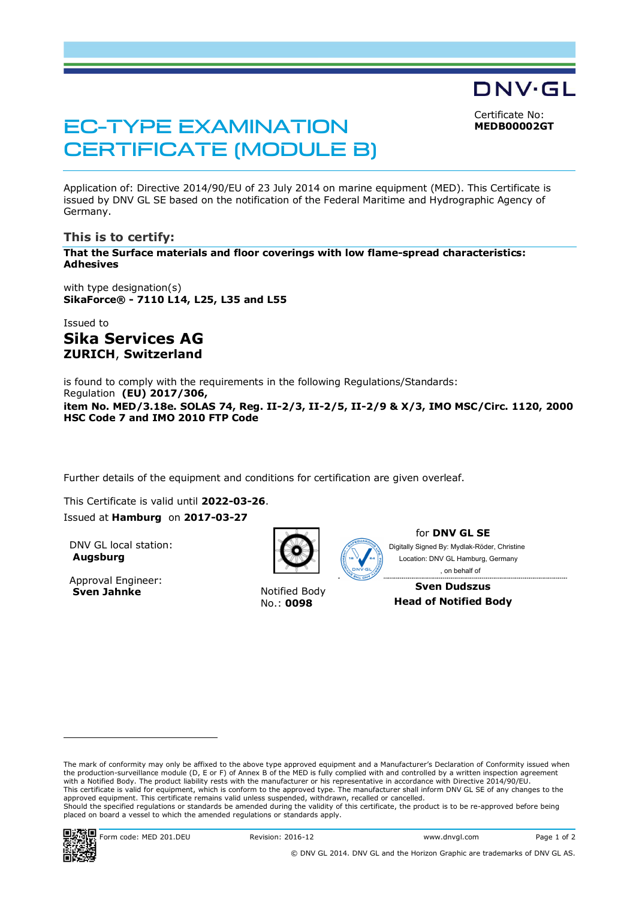Certificate No: **MEDB00002GT**

DNV·GL

# EC-TYPE EXAMINATION CERTIFICATE (MODULE B)

Application of: Directive 2014/90/EU of 23 July 2014 on marine equipment (MED). This Certificate is issued by DNV GL SE based on the notification of the Federal Maritime and Hydrographic Agency of Germany.

## **This is to certify:**

**That the Surface materials and floor coverings with low flame-spread characteristics: Adhesives**

with type designation(s) **SikaForce® - 7110 L14, L25, L35 and L55**

Issued to **Sika Services AG ZURICH**, **Switzerland**

is found to comply with the requirements in the following Regulations/Standards: Regulation **(EU) 2017/306, item No. MED/3.18e. SOLAS 74, Reg. II-2/3, II-2/5, II-2/9 & X/3, IMO MSC/Circ. 1120, 2000 HSC Code 7 and IMO 2010 FTP Code**

Further details of the equipment and conditions for certification are given overleaf.

This Certificate is valid until **2022-03-26**. Issued at **Hamburg** on **2017-03-27**

DNV GL local station: **Augsburg**

Approval Engineer: **Sven Jahnke** Notified Body



No.: **0098**



for **DNV GL SE**

Digitally Signed By: Mydlak-Röder, Christine Location: DNV GL Hamburg, Germany , on behalf of

**Sven Dudszus Head of Notified Body**

The mark of conformity may only be affixed to the above type approved equipment and a Manufacturer's Declaration of Conformity issued when the production-surveillance module (D, E or F) of Annex B of the MED is fully complied with and controlled by a written inspection agreement with a Notified Body. The product liability rests with the manufacturer or his representative in accordance with Directive 2014/90/EU. This certificate is valid for equipment, which is conform to the approved type. The manufacturer shall inform DNV GL SE of any changes to the approved equipment. This certificate remains valid unless suspended, withdrawn, recalled or cancelled. Should the specified regulations or standards be amended during the validity of this certificate, the product is to be re-approved before being placed on board a vessel to which the amended regulations or standards apply.